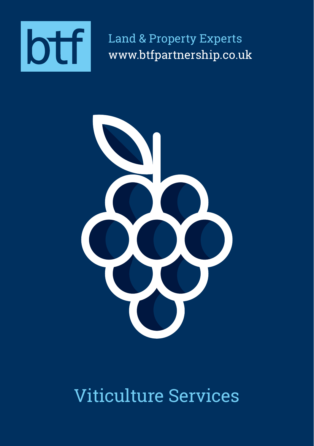

Land & Property Experts www.btfpartnership.co.uk



# Viticulture Services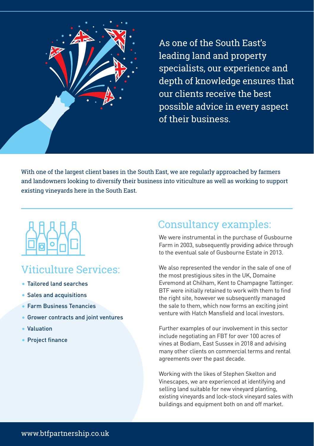

As one of the South East's leading land and property specialists, our experience and depth of knowledge ensures that our clients receive the best possible advice in every aspect of their business.

With one of the largest client bases in the South East, we are regularly approached by farmers and landowners looking to diversify their business into viticulture as well as working to support existing vineyards here in the South East.



## Viticulture Services:

- Tailored land searches
- Sales and acquisitions
- Farm Business Tenancies
- **Grower contracts and joint ventures**
- Valuation
- Project finance

## Consultancy examples:

We were instrumental in the purchase of Gusbourne Farm in 2003, subsequently providing advice through to the eventual sale of Gusbourne Estate in 2013.

We also represented the vendor in the sale of one of the most prestigious sites in the UK, Domaine Evremond at Chilham, Kent to Champagne Tattinger. BTF were initially retained to work with them to find the right site, however we subsequently managed the sale to them, which now forms an exciting joint venture with Hatch Mansfield and local investors.

Further examples of our involvement in this sector include negotiating an FBT for over 100 acres of vines at Bodiam, East Sussex in 2018 and advising many other clients on commercial terms and rental agreements over the past decade.

Working with the likes of Stephen Skelton and Vinescapes, we are experienced at identifying and selling land suitable for new vineyard planting, existing vineyards and lock-stock vineyard sales with buildings and equipment both on and off market.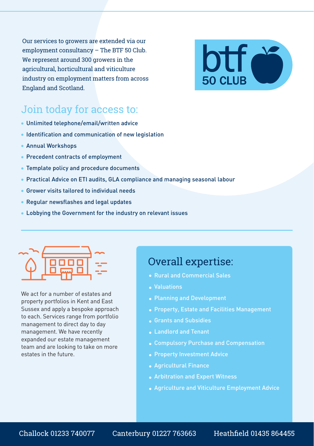Our services to growers are extended via our employment consultancy – The BTF 50 Club. We represent around 300 growers in the agricultural, horticultural and viticulture industry on employment matters from across England and Scotland.



#### Join today for access to:

- Unlimited telephone/email/written advice
- Identification and communication of new legislation
- Annual Workshops
- Precedent contracts of employment
- Template policy and procedure documents
- Practical Advice on ETI audits, GLA compliance and managing seasonal labour
- Grower visits tailored to individual needs
- Regular newsflashes and legal updates
- Lobbying the Government for the industry on relevant issues



We act for a number of estates and property portfolios in Kent and East Sussex and apply a bespoke approach to each. Services range from portfolio management to direct day to day management. We have recently expanded our estate management team and are looking to take on more estates in the future.

#### Overall expertise:

- Rural and Commercial Sales
- Valuations
- Planning and Development
- Property, Estate and Facilities Management
- Grants and Subsidies
- Landlord and Tenant
- 
- **Property Investment Advice**
- Agricultural Finance
- Arbitration and Expert Witness
- Agriculture and Viticulture Employment Advice